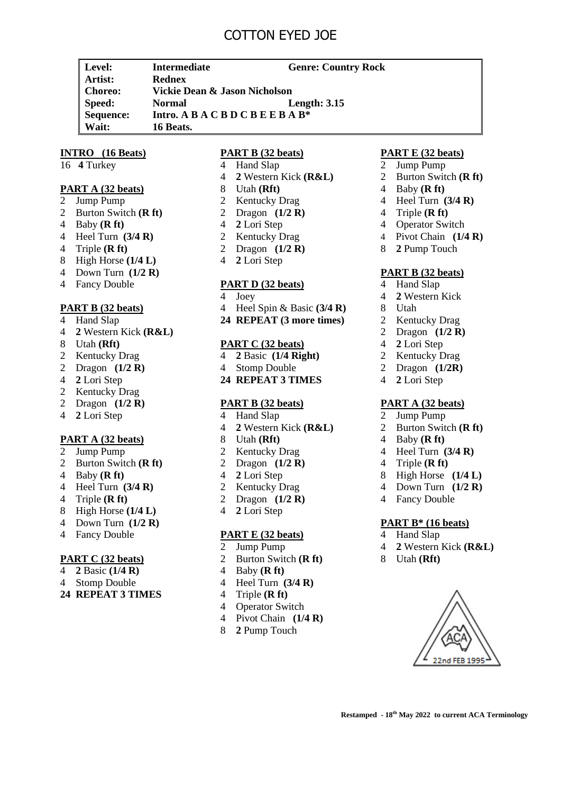# COTTON EYED JOE

**Level: Intermediate Genre: Country Rock Artist: Rednex Choreo: Vickie Dean & Jason Nicholson Speed: Normal Length: 3.15 Sequence: Intro. A B A C B D C B E E B A B\* Wait: 16 Beats.**

# **INTRO (16 Beats)**

16 **4** Turkey

# **PART A (32 beats)**

- 2 Jump Pump
- 2 Burton Switch **(R ft)**
- 4 Baby **(R ft)**
- 4 Heel Turn **(3/4 R)**
- 4 Triple **(R ft)**
- 8 High Horse **(1/4 L)**
- 4 Down Turn **(1/2 R)**
- 4 Fancy Double

# **PART B (32 beats)**

- 4 Hand Slap
- 4 **2** Western Kick **(R&L)**
- 8 Utah **(Rft)**
- 2 Kentucky Drag
- 2 Dragon **(1/2 R)**
- 4 **2** Lori Step
- 2 Kentucky Drag
- 2 Dragon **(1/2 R)**
- 4 **2** Lori Step

# **PART A (32 beats)**

- 2 Jump Pump
- 2 Burton Switch **(R ft)**
- 4 Baby **(R ft)**
- 4 Heel Turn **(3/4 R)**
- 4 Triple **(R ft)**
- 8 High Horse **(1/4 L)**
- 4 Down Turn **(1/2 R)**
- 4 Fancy Double

#### **PART C (32 beats)**

- 4 **2** Basic **(1/4 R)**
- 4 Stomp Double
- **24 REPEAT 3 TIMES**

### **PART B (32 beats)**

- 4 Hand Slap
- 4 **2** Western Kick **(R&L)**
- 8 Utah **(Rft)**
- 2 Kentucky Drag
- 2 Dragon **(1/2 R)**
- 4 **2** Lori Step
- 2 Kentucky Drag
- 2 Dragon **(1/2 R)**
- 4 **2** Lori Step

# **PART D (32 beats)**

- 4 Joey
- 4 Heel Spin & Basic **(3/4 R)**
- **24 REPEAT (3 more times)**

#### **PART C (32 beats)**

- 4 **2** Basic **(1/4 Right)**
- 4 Stomp Double
- **24 REPEAT 3 TIMES**

# **PART B (32 beats)**

- 4 Hand Slap
- 4 **2** Western Kick **(R&L)**
- 8 Utah **(Rft)**
- 2 Kentucky Drag
- 2 Dragon **(1/2 R)**
- 4 **2** Lori Step
- 2 Kentucky Drag
- 2 Dragon **(1/2 R)**
- 4 **2** Lori Step

# **PART E (32 beats)**

- 2 Jump Pump
- 2 Burton Switch **(R ft)**
- 4 Baby **(R ft)**
- 4 Heel Turn **(3/4 R)**
- 4 Triple **(R ft)**
- 4 Operator Switch
- 4 Pivot Chain **(1/4 R)**
- 8 **2** Pump Touch

# **PART E (32 beats)**

- 2 Jump Pump
- 2 Burton Switch **(R ft)**
- 4 Baby **(R ft)**
- 4 Heel Turn **(3/4 R)**
- 4 Triple **(R ft)**
- 4 Operator Switch
- 4 Pivot Chain **(1/4 R)**
- 8 **2** Pump Touch

#### **PART B (32 beats)**

- 4 Hand Slap
- 4 **2** Western Kick
- 8 Utah
- 2 Kentucky Drag
- 2 Dragon **(1/2 R)**
- 4 **2** Lori Step
- 2 Kentucky Drag
- 2 Dragon **(1/2R)**
- 4 **2** Lori Step

#### **PART A (32 beats)**

- 2 Jump Pump
- 2 Burton Switch **(R ft)**
- 4 Baby **(R ft)**
- 4 Heel Turn **(3/4 R)**
- 4 Triple **(R ft)**

4 Fancy Double

4 Hand Slap

8 Utah **(Rft)**

**PART B\* (16 beats)**

4 **2** Western Kick **(R&L)**

**Restamped - 18th May 2022 to current ACA Terminology**

22nd FEB 199!

- 8 High Horse **(1/4 L)**
- 4 Down Turn **(1/2 R)**